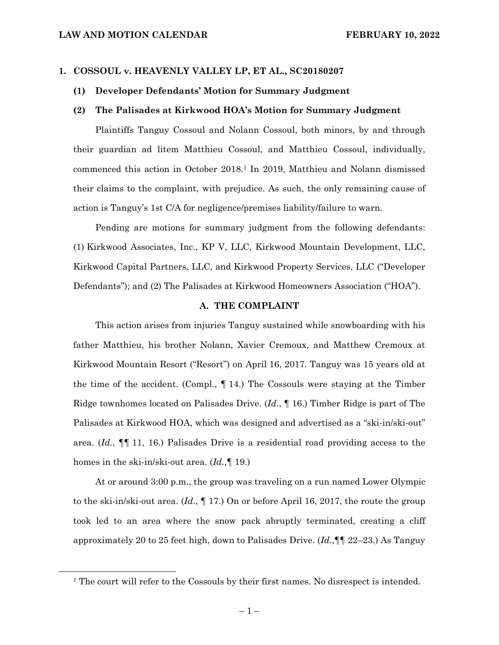## **1. COSSOUL v. HEAVENLY VALLEY LP, ET AL., SC20180207**

#### **(1) Developer Defendants' Motion for Summary Judgment**

#### **(2) The Palisades at Kirkwood HOA's Motion for Summary Judgment**

Plaintiffs Tanguy Cossoul and Nolann Cossoul, both minors, by and through their guardian ad litem Matthieu Cossoul, and Matthieu Cossoul, individually, commenced this action in October 2018.1 In 2019, Matthieu and Nolann dismissed their claims to the complaint, with prejudice. As such, the only remaining cause of action is Tanguy's 1st C/A for negligence/premises liability/failure to warn.

Pending are motions for summary judgment from the following defendants: (1) Kirkwood Associates, Inc., KP V, LLC, Kirkwood Mountain Development, LLC, Kirkwood Capital Partners, LLC, and Kirkwood Property Services, LLC ("Developer Defendants"); and (2) The Palisades at Kirkwood Homeowners Association ("HOA").

#### **A. THE COMPLAINT**

This action arises from injuries Tanguy sustained while snowboarding with his father Matthieu, his brother Nolann, Xavier Cremoux, and Matthew Cremoux at Kirkwood Mountain Resort ("Resort") on April 16, 2017. Tanguy was 15 years old at the time of the accident. (Compl., ¶ 14.) The Cossouls were staying at the Timber Ridge townhomes located on Palisades Drive. (*Id.*, ¶ 16.) Timber Ridge is part of The Palisades at Kirkwood HOA, which was designed and advertised as a "ski-in/ski-out" area. (*Id.*, ¶¶ 11, 16.) Palisades Drive is a residential road providing access to the homes in the ski-in/ski-out area. (*Id.*,¶ 19.)

At or around 3:00 p.m., the group was traveling on a run named Lower Olympic to the ski-in/ski-out area. (*Id.*, ¶ 17.) On or before April 16, 2017, the route the group took led to an area where the snow pack abruptly terminated, creating a cliff approximately 20 to 25 feet high, down to Palisades Drive. (*Id.*,¶¶ 22–23.) As Tanguy

<sup>&</sup>lt;sup>1</sup> The court will refer to the Cossouls by their first names. No disrespect is intended.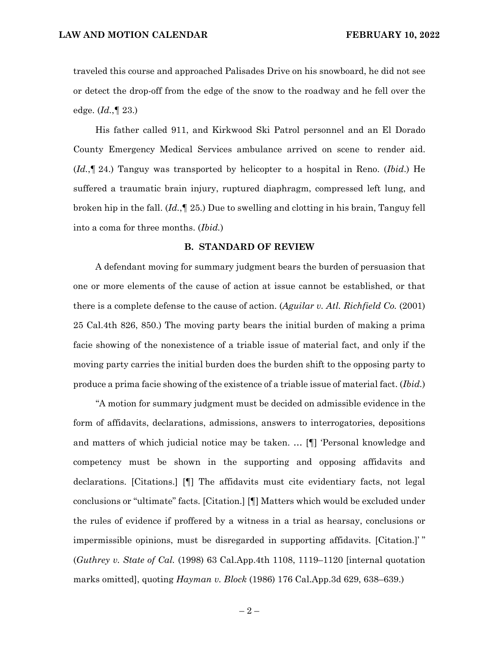traveled this course and approached Palisades Drive on his snowboard, he did not see or detect the drop-off from the edge of the snow to the roadway and he fell over the edge. (*Id.*,¶ 23.)

His father called 911, and Kirkwood Ski Patrol personnel and an El Dorado County Emergency Medical Services ambulance arrived on scene to render aid. (*Id.*,¶ 24.) Tanguy was transported by helicopter to a hospital in Reno. (*Ibid*.) He suffered a traumatic brain injury, ruptured diaphragm, compressed left lung, and broken hip in the fall. (*Id.*,¶ 25.) Due to swelling and clotting in his brain, Tanguy fell into a coma for three months. (*Ibid.*)

#### **B. STANDARD OF REVIEW**

A defendant moving for summary judgment bears the burden of persuasion that one or more elements of the cause of action at issue cannot be established, or that there is a complete defense to the cause of action. (*Aguilar v. Atl. Richfield Co.* (2001) 25 Cal.4th 826, 850.) The moving party bears the initial burden of making a prima facie showing of the nonexistence of a triable issue of material fact, and only if the moving party carries the initial burden does the burden shift to the opposing party to produce a prima facie showing of the existence of a triable issue of material fact. (*Ibid.*)

"A motion for summary judgment must be decided on admissible evidence in the form of affidavits, declarations, admissions, answers to interrogatories, depositions and matters of which judicial notice may be taken. … [¶] 'Personal knowledge and competency must be shown in the supporting and opposing affidavits and declarations. [Citations.] [¶] The affidavits must cite evidentiary facts, not legal conclusions or "ultimate" facts. [Citation.] [¶] Matters which would be excluded under the rules of evidence if proffered by a witness in a trial as hearsay, conclusions or impermissible opinions, must be disregarded in supporting affidavits. [Citation.]' " (*Guthrey v. State of Cal.* (1998) 63 Cal.App.4th 1108, 1119–1120 [internal quotation marks omitted], quoting *Hayman v. Block* (1986) 176 Cal.App.3d 629, 638–639.)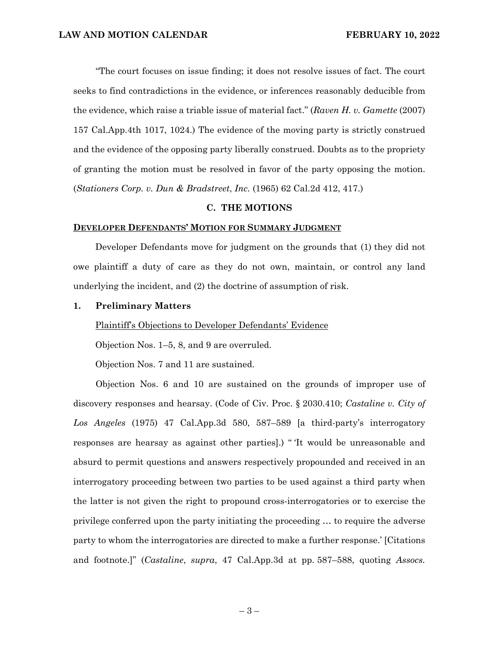"The court focuses on issue finding; it does not resolve issues of fact. The court seeks to find contradictions in the evidence, or inferences reasonably deducible from the evidence, which raise a triable issue of material fact." (*Raven H. v. Gamette* (2007) 157 Cal.App.4th 1017, 1024.) The evidence of the moving party is strictly construed and the evidence of the opposing party liberally construed. Doubts as to the propriety of granting the motion must be resolved in favor of the party opposing the motion. (*Stationers Corp. v. Dun & Bradstreet*, *Inc.* (1965) 62 Cal.2d 412, 417.)

# **C. THE MOTIONS**

# **DEVELOPER DEFENDANTS' MOTION FOR SUMMARY JUDGMENT**

Developer Defendants move for judgment on the grounds that (1) they did not owe plaintiff a duty of care as they do not own, maintain, or control any land underlying the incident, and (2) the doctrine of assumption of risk.

#### **1. Preliminary Matters**

#### Plaintiff's Objections to Developer Defendants' Evidence

Objection Nos. 1–5, 8, and 9 are overruled.

Objection Nos. 7 and 11 are sustained.

Objection Nos. 6 and 10 are sustained on the grounds of improper use of discovery responses and hearsay. (Code of Civ. Proc. § 2030.410; *Castaline v. City of Los Angeles* (1975) 47 Cal.App.3d 580, 587–589 [a third-party's interrogatory responses are hearsay as against other parties].) " 'It would be unreasonable and absurd to permit questions and answers respectively propounded and received in an interrogatory proceeding between two parties to be used against a third party when the latter is not given the right to propound cross-interrogatories or to exercise the privilege conferred upon the party initiating the proceeding … to require the adverse party to whom the interrogatories are directed to make a further response.' [Citations and footnote.]" (*Castaline*, *supra*, 47 Cal.App.3d at pp. 587–588, quoting *Assocs.*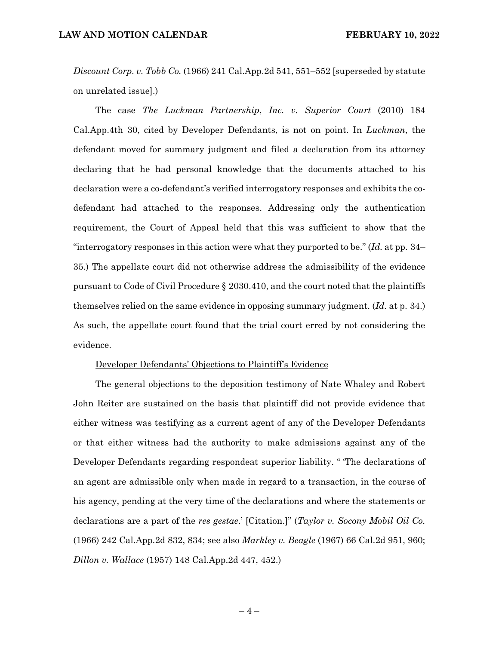*Discount Corp. v. Tobb Co.* (1966) 241 Cal.App.2d 541, 551–552 [superseded by statute on unrelated issue].)

The case *The Luckman Partnership*, *Inc. v. Superior Court* (2010) 184 Cal.App.4th 30, cited by Developer Defendants, is not on point. In *Luckman*, the defendant moved for summary judgment and filed a declaration from its attorney declaring that he had personal knowledge that the documents attached to his declaration were a co-defendant's verified interrogatory responses and exhibits the codefendant had attached to the responses. Addressing only the authentication requirement, the Court of Appeal held that this was sufficient to show that the "interrogatory responses in this action were what they purported to be." (*Id.* at pp. 34– 35.) The appellate court did not otherwise address the admissibility of the evidence pursuant to Code of Civil Procedure § 2030.410, and the court noted that the plaintiffs themselves relied on the same evidence in opposing summary judgment. (*Id.* at p. 34.) As such, the appellate court found that the trial court erred by not considering the evidence.

#### Developer Defendants' Objections to Plaintiff's Evidence

The general objections to the deposition testimony of Nate Whaley and Robert John Reiter are sustained on the basis that plaintiff did not provide evidence that either witness was testifying as a current agent of any of the Developer Defendants or that either witness had the authority to make admissions against any of the Developer Defendants regarding respondeat superior liability. " 'The declarations of an agent are admissible only when made in regard to a transaction, in the course of his agency, pending at the very time of the declarations and where the statements or declarations are a part of the *res gestae*.' [Citation.]" (*Taylor v. Socony Mobil Oil Co.* (1966) 242 Cal.App.2d 832, 834; see also *Markley v. Beagle* (1967) 66 Cal.2d 951, 960; *Dillon v. Wallace* (1957) 148 Cal.App.2d 447, 452.)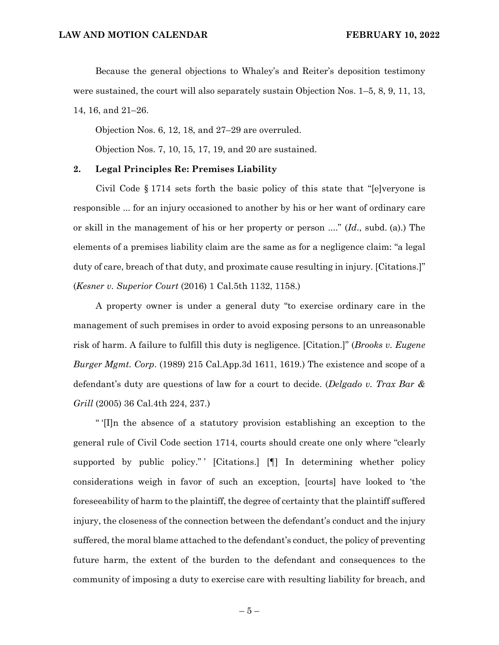Because the general objections to Whaley's and Reiter's deposition testimony were sustained, the court will also separately sustain Objection Nos. 1–5, 8, 9, 11, 13,

14, 16, and 21–26.

Objection Nos. 6, 12, 18, and 27–29 are overruled.

Objection Nos. 7, 10, 15, 17, 19, and 20 are sustained.

#### **2. Legal Principles Re: Premises Liability**

Civil Code § 1714 sets forth the basic policy of this state that "[e]veryone is responsible ... for an injury occasioned to another by his or her want of ordinary care or skill in the management of his or her property or person ...." (*Id*., subd. (a).) The elements of a premises liability claim are the same as for a negligence claim: "a legal duty of care, breach of that duty, and proximate cause resulting in injury. [Citations.]" (*Kesner v. Superior Court* (2016) 1 Cal.5th 1132, 1158.)

A property owner is under a general duty "to exercise ordinary care in the management of such premises in order to avoid exposing persons to an unreasonable risk of harm. A failure to fulfill this duty is negligence. [Citation.]" (*Brooks v. Eugene Burger Mgmt. Corp*. (1989) 215 Cal.App.3d 1611, 1619.) The existence and scope of a defendant's duty are questions of law for a court to decide. (*Delgado v. Trax Bar & Grill* (2005) 36 Cal.4th 224, 237.)

" '[I]n the absence of a statutory provision establishing an exception to the general rule of Civil Code section 1714, courts should create one only where "clearly supported by public policy." ' [Citations.] [¶] In determining whether policy considerations weigh in favor of such an exception, [courts] have looked to 'the foreseeability of harm to the plaintiff, the degree of certainty that the plaintiff suffered injury, the closeness of the connection between the defendant's conduct and the injury suffered, the moral blame attached to the defendant's conduct, the policy of preventing future harm, the extent of the burden to the defendant and consequences to the community of imposing a duty to exercise care with resulting liability for breach, and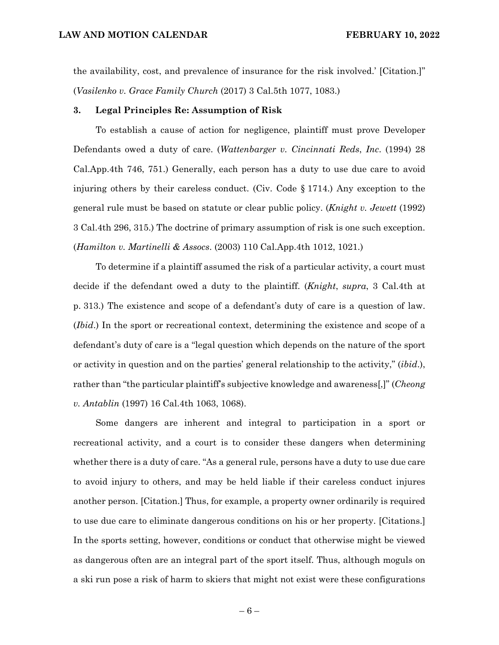the availability, cost, and prevalence of insurance for the risk involved.' [Citation.]" (*Vasilenko v. Grace Family Church* (2017) 3 Cal.5th 1077, 1083.)

## **3. Legal Principles Re: Assumption of Risk**

To establish a cause of action for negligence, plaintiff must prove Developer Defendants owed a duty of care. (*Wattenbarger v. Cincinnati Reds*, *Inc*. (1994) 28 Cal.App.4th 746, 751.) Generally, each person has a duty to use due care to avoid injuring others by their careless conduct. (Civ. Code § 1714.) Any exception to the general rule must be based on statute or clear public policy. (*Knight v. Jewett* (1992) 3 Cal.4th 296, 315.) The doctrine of primary assumption of risk is one such exception. (*Hamilton v. Martinelli & Assocs*. (2003) 110 Cal.App.4th 1012, 1021.)

To determine if a plaintiff assumed the risk of a particular activity, a court must decide if the defendant owed a duty to the plaintiff. (*Knight*, *supra*, 3 Cal.4th at p. 313.) The existence and scope of a defendant's duty of care is a question of law. (*Ibid*.) In the sport or recreational context, determining the existence and scope of a defendant's duty of care is a "legal question which depends on the nature of the sport or activity in question and on the parties' general relationship to the activity," (*ibid*.), rather than "the particular plaintiff's subjective knowledge and awareness[,]" (*Cheong v. Antablin* (1997) 16 Cal.4th 1063, 1068).

Some dangers are inherent and integral to participation in a sport or recreational activity, and a court is to consider these dangers when determining whether there is a duty of care. "As a general rule, persons have a duty to use due care to avoid injury to others, and may be held liable if their careless conduct injures another person. [Citation.] Thus, for example, a property owner ordinarily is required to use due care to eliminate dangerous conditions on his or her property. [Citations.] In the sports setting, however, conditions or conduct that otherwise might be viewed as dangerous often are an integral part of the sport itself. Thus, although moguls on a ski run pose a risk of harm to skiers that might not exist were these configurations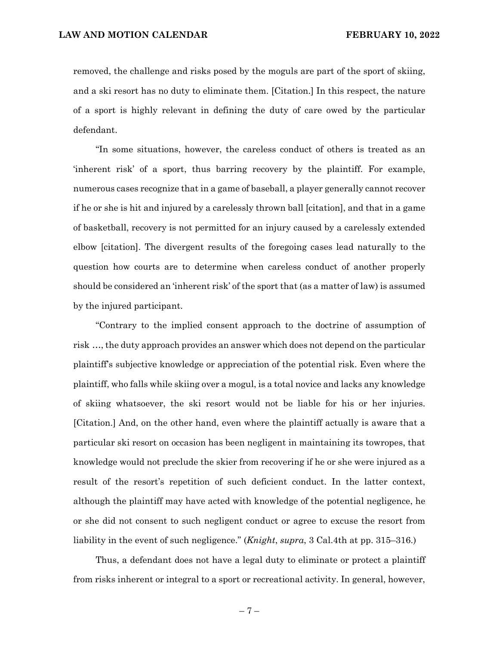removed, the challenge and risks posed by the moguls are part of the sport of skiing, and a ski resort has no duty to eliminate them. [Citation.] In this respect, the nature of a sport is highly relevant in defining the duty of care owed by the particular defendant.

"In some situations, however, the careless conduct of others is treated as an 'inherent risk' of a sport, thus barring recovery by the plaintiff. For example, numerous cases recognize that in a game of baseball, a player generally cannot recover if he or she is hit and injured by a carelessly thrown ball [citation], and that in a game of basketball, recovery is not permitted for an injury caused by a carelessly extended elbow [citation]. The divergent results of the foregoing cases lead naturally to the question how courts are to determine when careless conduct of another properly should be considered an 'inherent risk' of the sport that (as a matter of law) is assumed by the injured participant.

"Contrary to the implied consent approach to the doctrine of assumption of risk …, the duty approach provides an answer which does not depend on the particular plaintiff's subjective knowledge or appreciation of the potential risk. Even where the plaintiff, who falls while skiing over a mogul, is a total novice and lacks any knowledge of skiing whatsoever, the ski resort would not be liable for his or her injuries. [Citation.] And, on the other hand, even where the plaintiff actually is aware that a particular ski resort on occasion has been negligent in maintaining its towropes, that knowledge would not preclude the skier from recovering if he or she were injured as a result of the resort's repetition of such deficient conduct. In the latter context, although the plaintiff may have acted with knowledge of the potential negligence, he or she did not consent to such negligent conduct or agree to excuse the resort from liability in the event of such negligence." (*Knight*, *supra*, 3 Cal.4th at pp. 315–316.)

Thus, a defendant does not have a legal duty to eliminate or protect a plaintiff from risks inherent or integral to a sport or recreational activity. In general, however,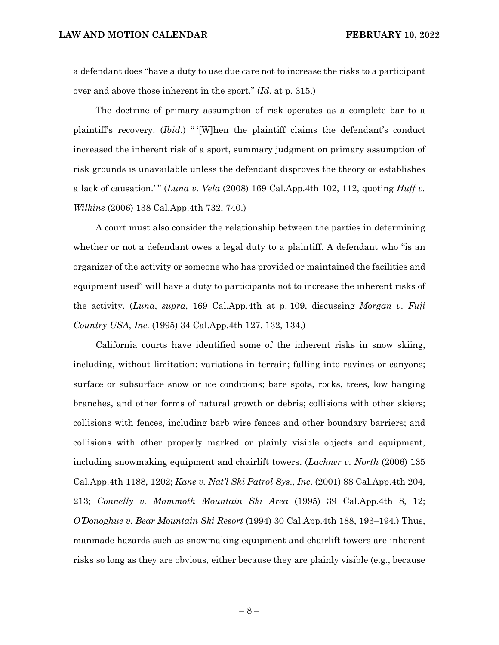a defendant does "have a duty to use due care not to increase the risks to a participant over and above those inherent in the sport." (*Id*. at p. 315.)

The doctrine of primary assumption of risk operates as a complete bar to a plaintiff's recovery. (*Ibid*.) " '[W]hen the plaintiff claims the defendant's conduct increased the inherent risk of a sport, summary judgment on primary assumption of risk grounds is unavailable unless the defendant disproves the theory or establishes a lack of causation.' " (*Luna v. Vela* (2008) 169 Cal.App.4th 102, 112, quoting *Huff v. Wilkins* (2006) 138 Cal.App.4th 732, 740.)

A court must also consider the relationship between the parties in determining whether or not a defendant owes a legal duty to a plaintiff. A defendant who "is an organizer of the activity or someone who has provided or maintained the facilities and equipment used" will have a duty to participants not to increase the inherent risks of the activity. (*Luna*, *supra*, 169 Cal.App.4th at p. 109, discussing *Morgan v. Fuji Country USA*, *Inc*. (1995) 34 Cal.App.4th 127, 132, 134.)

California courts have identified some of the inherent risks in snow skiing, including, without limitation: variations in terrain; falling into ravines or canyons; surface or subsurface snow or ice conditions; bare spots, rocks, trees, low hanging branches, and other forms of natural growth or debris; collisions with other skiers; collisions with fences, including barb wire fences and other boundary barriers; and collisions with other properly marked or plainly visible objects and equipment, including snowmaking equipment and chairlift towers. (*Lackner v. North* (2006) 135 Cal.App.4th 1188, 1202; *Kane v. Nat'l Ski Patrol Sys*., *Inc*. (2001) 88 Cal.App.4th 204, 213; *Connelly v. Mammoth Mountain Ski Area* (1995) 39 Cal.App.4th 8, 12; *O'Donoghue v. Bear Mountain Ski Resort* (1994) 30 Cal.App.4th 188, 193–194.) Thus, manmade hazards such as snowmaking equipment and chairlift towers are inherent risks so long as they are obvious, either because they are plainly visible (e.g., because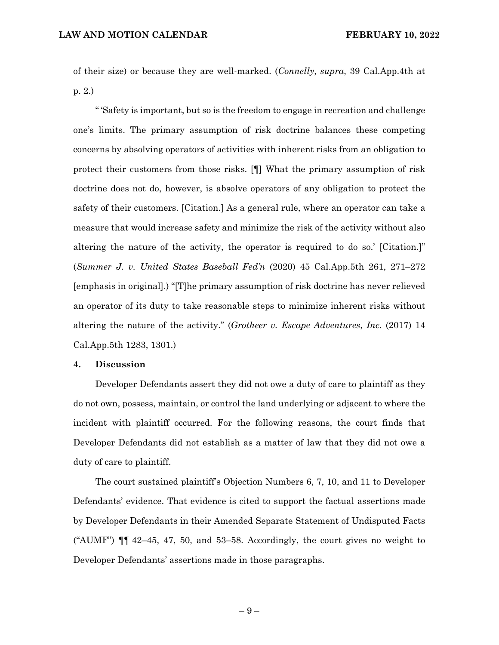of their size) or because they are well-marked. (*Connelly*, *supra*, 39 Cal.App.4th at p. 2.)

" 'Safety is important, but so is the freedom to engage in recreation and challenge one's limits. The primary assumption of risk doctrine balances these competing concerns by absolving operators of activities with inherent risks from an obligation to protect their customers from those risks. [¶] What the primary assumption of risk doctrine does not do, however, is absolve operators of any obligation to protect the safety of their customers. [Citation.] As a general rule, where an operator can take a measure that would increase safety and minimize the risk of the activity without also altering the nature of the activity, the operator is required to do so.' [Citation.]" (*Summer J. v. United States Baseball Fed'n* (2020) 45 Cal.App.5th 261, 271–272 [emphasis in original].) "[T]he primary assumption of risk doctrine has never relieved an operator of its duty to take reasonable steps to minimize inherent risks without altering the nature of the activity." (*Grotheer v. Escape Adventures*, *Inc*. (2017) 14 Cal.App.5th 1283, 1301.)

## **4. Discussion**

Developer Defendants assert they did not owe a duty of care to plaintiff as they do not own, possess, maintain, or control the land underlying or adjacent to where the incident with plaintiff occurred. For the following reasons, the court finds that Developer Defendants did not establish as a matter of law that they did not owe a duty of care to plaintiff.

The court sustained plaintiff's Objection Numbers 6, 7, 10, and 11 to Developer Defendants' evidence. That evidence is cited to support the factual assertions made by Developer Defendants in their Amended Separate Statement of Undisputed Facts ("AUMF")  $\P\P$  42–45, 47, 50, and 53–58. Accordingly, the court gives no weight to Developer Defendants' assertions made in those paragraphs.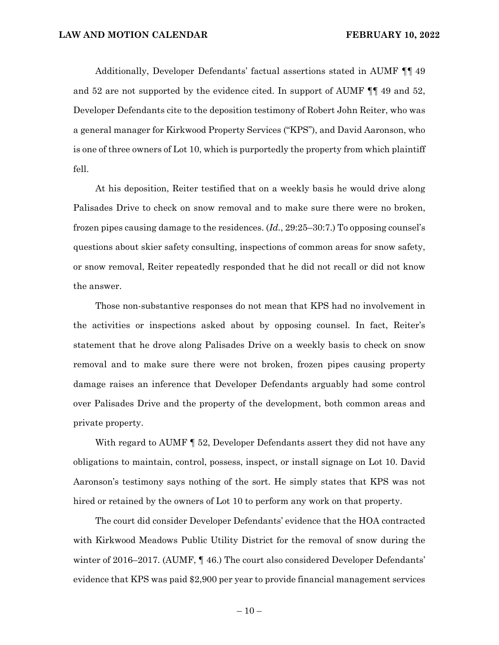Additionally, Developer Defendants' factual assertions stated in AUMF ¶¶ 49 and 52 are not supported by the evidence cited. In support of AUMF ¶¶ 49 and 52, Developer Defendants cite to the deposition testimony of Robert John Reiter, who was a general manager for Kirkwood Property Services ("KPS"), and David Aaronson, who is one of three owners of Lot 10, which is purportedly the property from which plaintiff fell.

At his deposition, Reiter testified that on a weekly basis he would drive along Palisades Drive to check on snow removal and to make sure there were no broken, frozen pipes causing damage to the residences. (*Id.*, 29:25–30:7.) To opposing counsel's questions about skier safety consulting, inspections of common areas for snow safety, or snow removal, Reiter repeatedly responded that he did not recall or did not know the answer.

Those non-substantive responses do not mean that KPS had no involvement in the activities or inspections asked about by opposing counsel. In fact, Reiter's statement that he drove along Palisades Drive on a weekly basis to check on snow removal and to make sure there were not broken, frozen pipes causing property damage raises an inference that Developer Defendants arguably had some control over Palisades Drive and the property of the development, both common areas and private property.

With regard to AUMF [ 52, Developer Defendants assert they did not have any obligations to maintain, control, possess, inspect, or install signage on Lot 10. David Aaronson's testimony says nothing of the sort. He simply states that KPS was not hired or retained by the owners of Lot 10 to perform any work on that property.

The court did consider Developer Defendants' evidence that the HOA contracted with Kirkwood Meadows Public Utility District for the removal of snow during the winter of 2016–2017. (AUMF, ¶ 46.) The court also considered Developer Defendants' evidence that KPS was paid \$2,900 per year to provide financial management services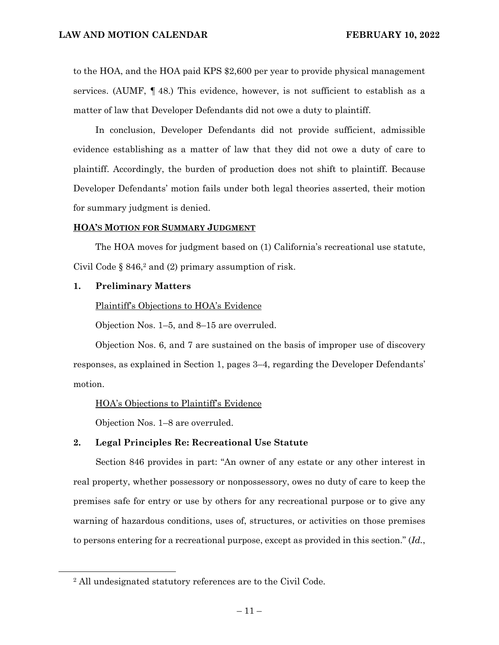to the HOA, and the HOA paid KPS \$2,600 per year to provide physical management services. (AUMF, ¶ 48.) This evidence, however, is not sufficient to establish as a matter of law that Developer Defendants did not owe a duty to plaintiff.

In conclusion, Developer Defendants did not provide sufficient, admissible evidence establishing as a matter of law that they did not owe a duty of care to plaintiff. Accordingly, the burden of production does not shift to plaintiff. Because Developer Defendants' motion fails under both legal theories asserted, their motion for summary judgment is denied.

# **HOA'S MOTION FOR SUMMARY JUDGMENT**

The HOA moves for judgment based on (1) California's recreational use statute, Civil Code  $\S 846$ , and (2) primary assumption of risk.

# **1. Preliminary Matters**

## Plaintiff's Objections to HOA's Evidence

Objection Nos. 1–5, and 8–15 are overruled.

Objection Nos. 6, and 7 are sustained on the basis of improper use of discovery responses, as explained in Section 1, pages 3–4, regarding the Developer Defendants' motion.

## HOA's Objections to Plaintiff's Evidence

Objection Nos. 1–8 are overruled.

# **2. Legal Principles Re: Recreational Use Statute**

Section 846 provides in part: "An owner of any estate or any other interest in real property, whether possessory or nonpossessory, owes no duty of care to keep the premises safe for entry or use by others for any recreational purpose or to give any warning of hazardous conditions, uses of, structures, or activities on those premises to persons entering for a recreational purpose, except as provided in this section." (*Id.*,

<sup>2</sup> All undesignated statutory references are to the Civil Code.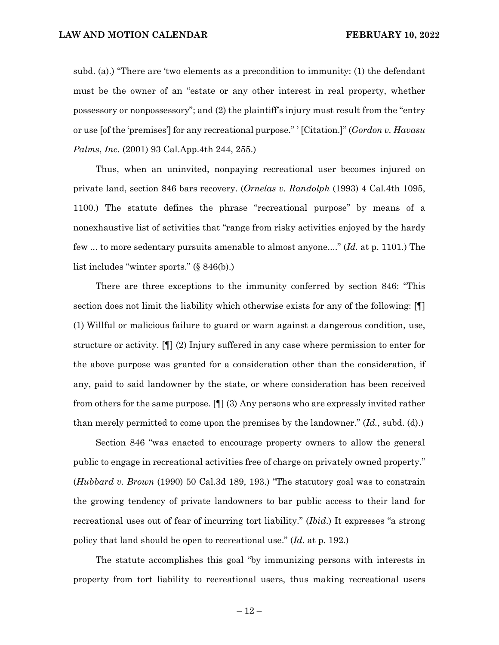subd. (a).) "There are 'two elements as a precondition to immunity: (1) the defendant must be the owner of an "estate or any other interest in real property, whether possessory or nonpossessory"; and (2) the plaintiff's injury must result from the "entry or use [of the 'premises'] for any recreational purpose." ' [Citation.]" (*Gordon v. Havasu Palms*, *Inc.* (2001) 93 Cal.App.4th 244, 255.)

Thus, when an uninvited, nonpaying recreational user becomes injured on private land, section 846 bars recovery. (*Ornelas v. Randolph* (1993) 4 Cal.4th 1095, 1100.) The statute defines the phrase "recreational purpose" by means of a nonexhaustive list of activities that "range from risky activities enjoyed by the hardy few ... to more sedentary pursuits amenable to almost anyone...." (*Id.* at p. 1101.) The list includes "winter sports." (§ 846(b).)

There are three exceptions to the immunity conferred by section 846: "This section does not limit the liability which otherwise exists for any of the following: [¶] (1) Willful or malicious failure to guard or warn against a dangerous condition, use, structure or activity. [¶] (2) Injury suffered in any case where permission to enter for the above purpose was granted for a consideration other than the consideration, if any, paid to said landowner by the state, or where consideration has been received from others for the same purpose. [¶] (3) Any persons who are expressly invited rather than merely permitted to come upon the premises by the landowner." (*Id.*, subd. (d).)

Section 846 "was enacted to encourage property owners to allow the general public to engage in recreational activities free of charge on privately owned property." (*Hubbard v. Brown* (1990) 50 Cal.3d 189, 193.) "The statutory goal was to constrain the growing tendency of private landowners to bar public access to their land for recreational uses out of fear of incurring tort liability." (*Ibid*.) It expresses "a strong policy that land should be open to recreational use." (*Id*. at p. 192.)

The statute accomplishes this goal "by immunizing persons with interests in property from tort liability to recreational users, thus making recreational users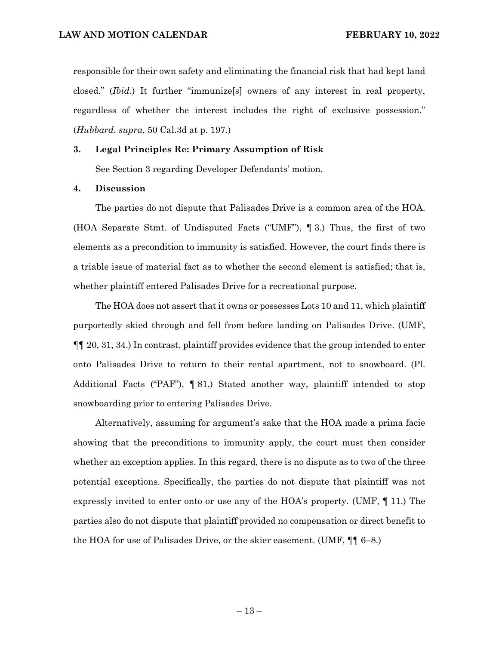responsible for their own safety and eliminating the financial risk that had kept land closed." (*Ibid*.) It further "immunize[s] owners of any interest in real property, regardless of whether the interest includes the right of exclusive possession." (*Hubbard*, *supra*, 50 Cal.3d at p. 197.)

## **3. Legal Principles Re: Primary Assumption of Risk**

See Section 3 regarding Developer Defendants' motion.

#### **4. Discussion**

The parties do not dispute that Palisades Drive is a common area of the HOA. (HOA Separate Stmt. of Undisputed Facts ("UMF"), ¶ 3.) Thus, the first of two elements as a precondition to immunity is satisfied. However, the court finds there is a triable issue of material fact as to whether the second element is satisfied; that is, whether plaintiff entered Palisades Drive for a recreational purpose.

The HOA does not assert that it owns or possesses Lots 10 and 11, which plaintiff purportedly skied through and fell from before landing on Palisades Drive. (UMF, ¶¶ 20, 31, 34.) In contrast, plaintiff provides evidence that the group intended to enter onto Palisades Drive to return to their rental apartment, not to snowboard. (Pl. Additional Facts ("PAF"), ¶ 81.) Stated another way, plaintiff intended to stop snowboarding prior to entering Palisades Drive.

Alternatively, assuming for argument's sake that the HOA made a prima facie showing that the preconditions to immunity apply, the court must then consider whether an exception applies. In this regard, there is no dispute as to two of the three potential exceptions. Specifically, the parties do not dispute that plaintiff was not expressly invited to enter onto or use any of the HOA's property. (UMF, ¶ 11.) The parties also do not dispute that plaintiff provided no compensation or direct benefit to the HOA for use of Palisades Drive, or the skier easement. (UMF, ¶¶ 6–8.)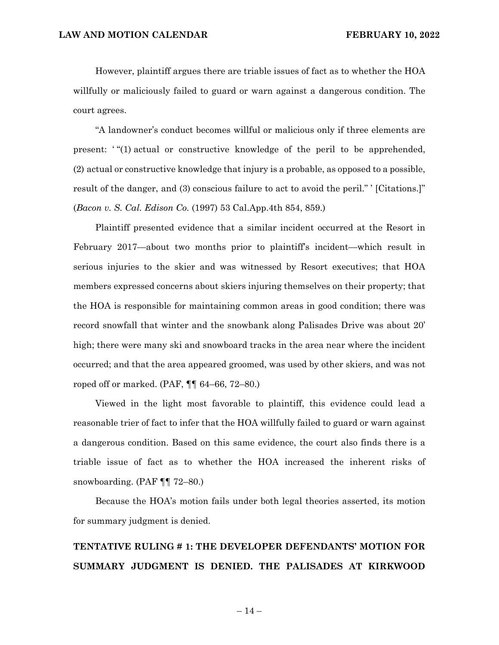However, plaintiff argues there are triable issues of fact as to whether the HOA willfully or maliciously failed to guard or warn against a dangerous condition. The court agrees.

"A landowner's conduct becomes willful or malicious only if three elements are present: ' "(1) actual or constructive knowledge of the peril to be apprehended, (2) actual or constructive knowledge that injury is a probable, as opposed to a possible, result of the danger, and (3) conscious failure to act to avoid the peril." ' [Citations.]" (*Bacon v. S. Cal. Edison Co.* (1997) 53 Cal.App.4th 854, 859.)

Plaintiff presented evidence that a similar incident occurred at the Resort in February 2017—about two months prior to plaintiff's incident—which result in serious injuries to the skier and was witnessed by Resort executives; that HOA members expressed concerns about skiers injuring themselves on their property; that the HOA is responsible for maintaining common areas in good condition; there was record snowfall that winter and the snowbank along Palisades Drive was about 20' high; there were many ski and snowboard tracks in the area near where the incident occurred; and that the area appeared groomed, was used by other skiers, and was not roped off or marked. (PAF, ¶¶ 64–66, 72–80.)

Viewed in the light most favorable to plaintiff, this evidence could lead a reasonable trier of fact to infer that the HOA willfully failed to guard or warn against a dangerous condition. Based on this same evidence, the court also finds there is a triable issue of fact as to whether the HOA increased the inherent risks of snowboarding. (PAF ¶¶ 72–80.)

Because the HOA's motion fails under both legal theories asserted, its motion for summary judgment is denied.

# **TENTATIVE RULING # 1: THE DEVELOPER DEFENDANTS' MOTION FOR SUMMARY JUDGMENT IS DENIED. THE PALISADES AT KIRKWOOD**